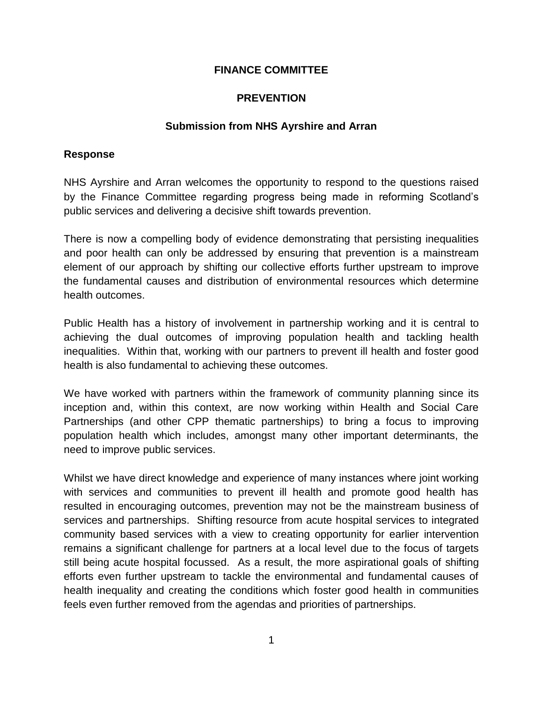## **FINANCE COMMITTEE**

## **PREVENTION**

## **Submission from NHS Ayrshire and Arran**

### **Response**

NHS Ayrshire and Arran welcomes the opportunity to respond to the questions raised by the Finance Committee regarding progress being made in reforming Scotland's public services and delivering a decisive shift towards prevention.

There is now a compelling body of evidence demonstrating that persisting inequalities and poor health can only be addressed by ensuring that prevention is a mainstream element of our approach by shifting our collective efforts further upstream to improve the fundamental causes and distribution of environmental resources which determine health outcomes.

Public Health has a history of involvement in partnership working and it is central to achieving the dual outcomes of improving population health and tackling health inequalities. Within that, working with our partners to prevent ill health and foster good health is also fundamental to achieving these outcomes.

We have worked with partners within the framework of community planning since its inception and, within this context, are now working within Health and Social Care Partnerships (and other CPP thematic partnerships) to bring a focus to improving population health which includes, amongst many other important determinants, the need to improve public services.

Whilst we have direct knowledge and experience of many instances where joint working with services and communities to prevent ill health and promote good health has resulted in encouraging outcomes, prevention may not be the mainstream business of services and partnerships. Shifting resource from acute hospital services to integrated community based services with a view to creating opportunity for earlier intervention remains a significant challenge for partners at a local level due to the focus of targets still being acute hospital focussed. As a result, the more aspirational goals of shifting efforts even further upstream to tackle the environmental and fundamental causes of health inequality and creating the conditions which foster good health in communities feels even further removed from the agendas and priorities of partnerships.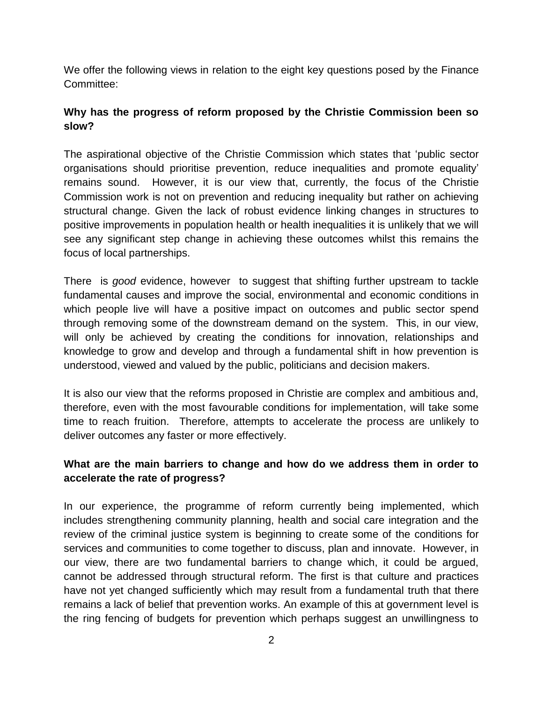We offer the following views in relation to the eight key questions posed by the Finance Committee:

# **Why has the progress of reform proposed by the Christie Commission been so slow?**

The aspirational objective of the Christie Commission which states that 'public sector organisations should prioritise prevention, reduce inequalities and promote equality' remains sound. However, it is our view that, currently, the focus of the Christie Commission work is not on prevention and reducing inequality but rather on achieving structural change. Given the lack of robust evidence linking changes in structures to positive improvements in population health or health inequalities it is unlikely that we will see any significant step change in achieving these outcomes whilst this remains the focus of local partnerships.

There is *good* evidence, however to suggest that shifting further upstream to tackle fundamental causes and improve the social, environmental and economic conditions in which people live will have a positive impact on outcomes and public sector spend through removing some of the downstream demand on the system. This, in our view, will only be achieved by creating the conditions for innovation, relationships and knowledge to grow and develop and through a fundamental shift in how prevention is understood, viewed and valued by the public, politicians and decision makers.

It is also our view that the reforms proposed in Christie are complex and ambitious and, therefore, even with the most favourable conditions for implementation, will take some time to reach fruition. Therefore, attempts to accelerate the process are unlikely to deliver outcomes any faster or more effectively.

# **What are the main barriers to change and how do we address them in order to accelerate the rate of progress?**

In our experience, the programme of reform currently being implemented, which includes strengthening community planning, health and social care integration and the review of the criminal justice system is beginning to create some of the conditions for services and communities to come together to discuss, plan and innovate. However, in our view, there are two fundamental barriers to change which, it could be argued, cannot be addressed through structural reform. The first is that culture and practices have not yet changed sufficiently which may result from a fundamental truth that there remains a lack of belief that prevention works. An example of this at government level is the ring fencing of budgets for prevention which perhaps suggest an unwillingness to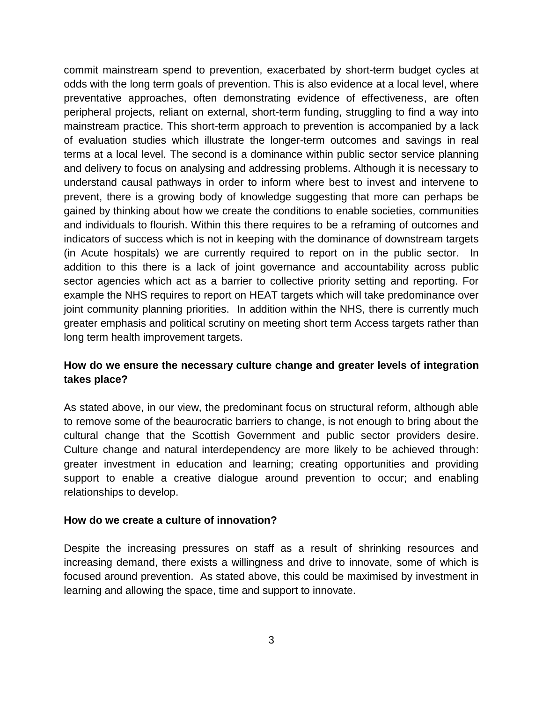commit mainstream spend to prevention, exacerbated by short-term budget cycles at odds with the long term goals of prevention. This is also evidence at a local level, where preventative approaches, often demonstrating evidence of effectiveness, are often peripheral projects, reliant on external, short-term funding, struggling to find a way into mainstream practice. This short-term approach to prevention is accompanied by a lack of evaluation studies which illustrate the longer-term outcomes and savings in real terms at a local level. The second is a dominance within public sector service planning and delivery to focus on analysing and addressing problems. Although it is necessary to understand causal pathways in order to inform where best to invest and intervene to prevent, there is a growing body of knowledge suggesting that more can perhaps be gained by thinking about how we create the conditions to enable societies, communities and individuals to flourish. Within this there requires to be a reframing of outcomes and indicators of success which is not in keeping with the dominance of downstream targets (in Acute hospitals) we are currently required to report on in the public sector. In addition to this there is a lack of joint governance and accountability across public sector agencies which act as a barrier to collective priority setting and reporting. For example the NHS requires to report on HEAT targets which will take predominance over joint community planning priorities. In addition within the NHS, there is currently much greater emphasis and political scrutiny on meeting short term Access targets rather than long term health improvement targets.

## **How do we ensure the necessary culture change and greater levels of integration takes place?**

As stated above, in our view, the predominant focus on structural reform, although able to remove some of the beaurocratic barriers to change, is not enough to bring about the cultural change that the Scottish Government and public sector providers desire. Culture change and natural interdependency are more likely to be achieved through: greater investment in education and learning; creating opportunities and providing support to enable a creative dialogue around prevention to occur; and enabling relationships to develop.

### **How do we create a culture of innovation?**

Despite the increasing pressures on staff as a result of shrinking resources and increasing demand, there exists a willingness and drive to innovate, some of which is focused around prevention. As stated above, this could be maximised by investment in learning and allowing the space, time and support to innovate.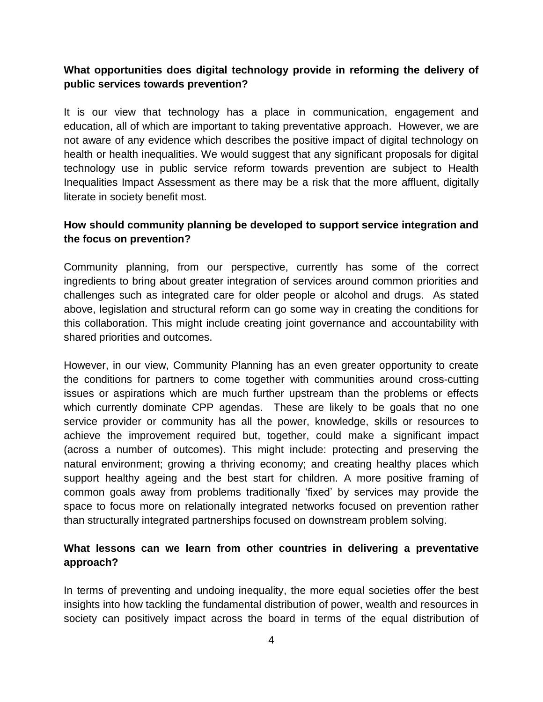## **What opportunities does digital technology provide in reforming the delivery of public services towards prevention?**

It is our view that technology has a place in communication, engagement and education, all of which are important to taking preventative approach. However, we are not aware of any evidence which describes the positive impact of digital technology on health or health inequalities. We would suggest that any significant proposals for digital technology use in public service reform towards prevention are subject to Health Inequalities Impact Assessment as there may be a risk that the more affluent, digitally literate in society benefit most.

## **How should community planning be developed to support service integration and the focus on prevention?**

Community planning, from our perspective, currently has some of the correct ingredients to bring about greater integration of services around common priorities and challenges such as integrated care for older people or alcohol and drugs. As stated above, legislation and structural reform can go some way in creating the conditions for this collaboration. This might include creating joint governance and accountability with shared priorities and outcomes.

However, in our view, Community Planning has an even greater opportunity to create the conditions for partners to come together with communities around cross-cutting issues or aspirations which are much further upstream than the problems or effects which currently dominate CPP agendas. These are likely to be goals that no one service provider or community has all the power, knowledge, skills or resources to achieve the improvement required but, together, could make a significant impact (across a number of outcomes). This might include: protecting and preserving the natural environment; growing a thriving economy; and creating healthy places which support healthy ageing and the best start for children. A more positive framing of common goals away from problems traditionally 'fixed' by services may provide the space to focus more on relationally integrated networks focused on prevention rather than structurally integrated partnerships focused on downstream problem solving.

# **What lessons can we learn from other countries in delivering a preventative approach?**

In terms of preventing and undoing inequality, the more equal societies offer the best insights into how tackling the fundamental distribution of power, wealth and resources in society can positively impact across the board in terms of the equal distribution of